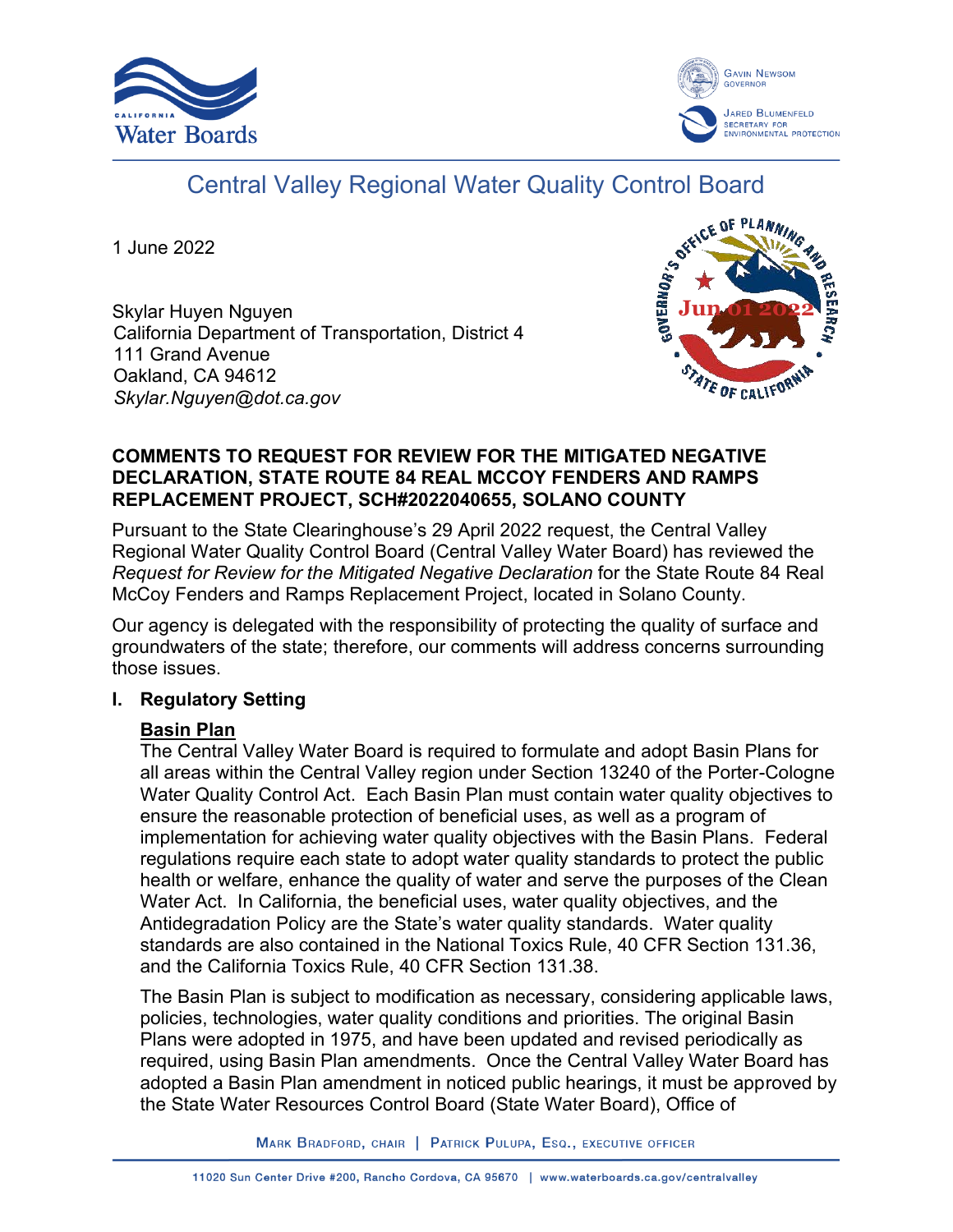



# Central Valley Regional Water Quality Control Board

1 June 2022

Skylar Huyen Nguyen California Department of Transportation, District 4 111 Grand Avenue Oakland, CA 94612 *Skylar.Nguyen@dot.ca.gov*



#### **COMMENTS TO REQUEST FOR REVIEW FOR THE MITIGATED NEGATIVE DECLARATION, STATE ROUTE 84 REAL MCCOY FENDERS AND RAMPS REPLACEMENT PROJECT, SCH#2022040655, SOLANO COUNTY**

Pursuant to the State Clearinghouse's 29 April 2022 request, the Central Valley Regional Water Quality Control Board (Central Valley Water Board) has reviewed the *Request for Review for the Mitigated Negative Declaration* for the State Route 84 Real McCoy Fenders and Ramps Replacement Project, located in Solano County.

Our agency is delegated with the responsibility of protecting the quality of surface and groundwaters of the state; therefore, our comments will address concerns surrounding those issues.

## **I. Regulatory Setting**

# **Basin Plan**

The Central Valley Water Board is required to formulate and adopt Basin Plans for all areas within the Central Valley region under Section 13240 of the Porter-Cologne Water Quality Control Act. Each Basin Plan must contain water quality objectives to ensure the reasonable protection of beneficial uses, as well as a program of implementation for achieving water quality objectives with the Basin Plans. Federal regulations require each state to adopt water quality standards to protect the public health or welfare, enhance the quality of water and serve the purposes of the Clean Water Act. In California, the beneficial uses, water quality objectives, and the Antidegradation Policy are the State's water quality standards. Water quality standards are also contained in the National Toxics Rule, 40 CFR Section 131.36, and the California Toxics Rule, 40 CFR Section 131.38.

The Basin Plan is subject to modification as necessary, considering applicable laws, policies, technologies, water quality conditions and priorities. The original Basin Plans were adopted in 1975, and have been updated and revised periodically as required, using Basin Plan amendments. Once the Central Valley Water Board has adopted a Basin Plan amendment in noticed public hearings, it must be approved by the State Water Resources Control Board (State Water Board), Office of

MARK BRADFORD, CHAIR | PATRICK PULUPA, ESQ., EXECUTIVE OFFICER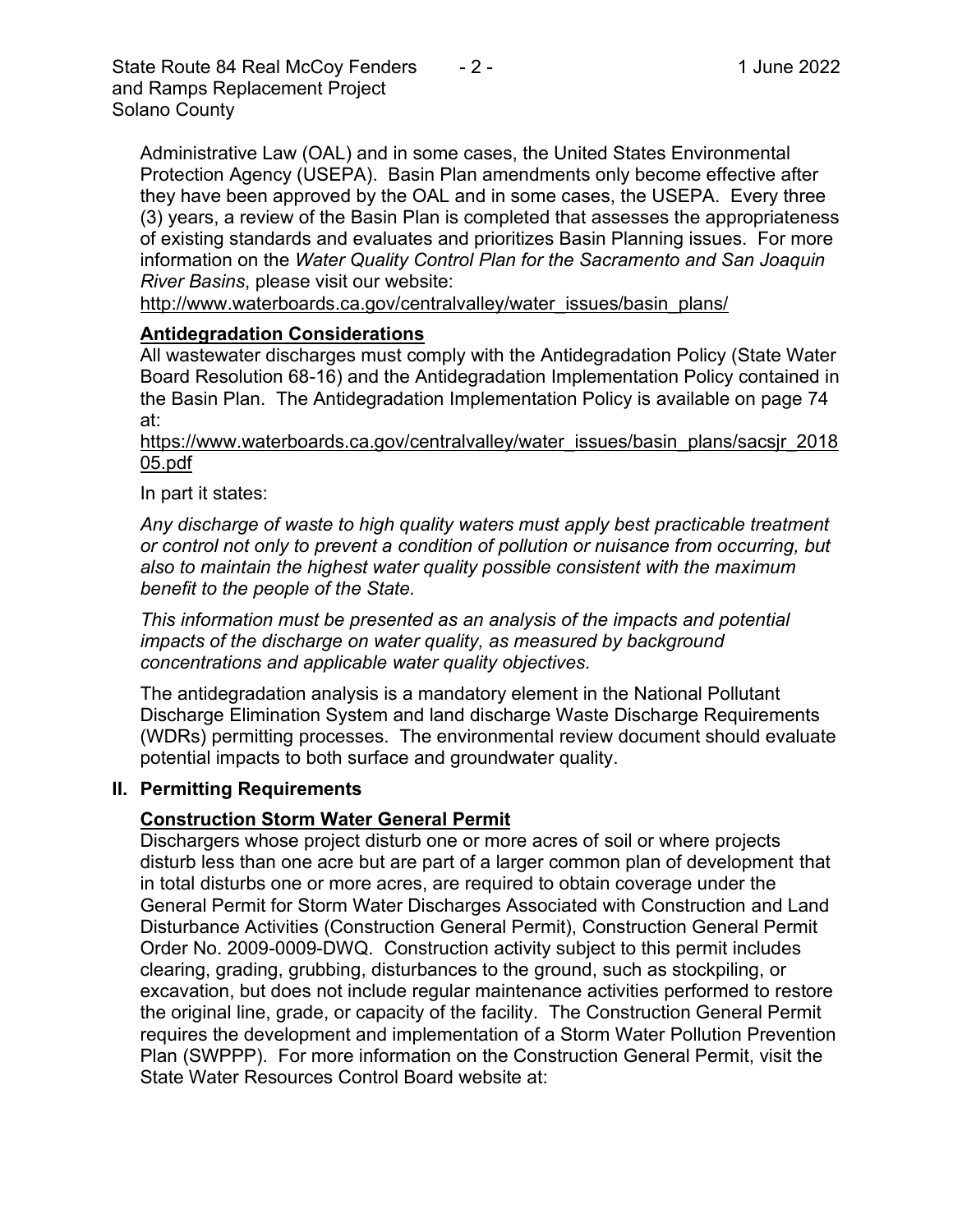State Route 84 Real McCoy Fenders  $\qquad 2 -$  1 June 2022 and Ramps Replacement Project Solano County

Administrative Law (OAL) and in some cases, the United States Environmental Protection Agency (USEPA). Basin Plan amendments only become effective after they have been approved by the OAL and in some cases, the USEPA. Every three (3) years, a review of the Basin Plan is completed that assesses the appropriateness of existing standards and evaluates and prioritizes Basin Planning issues. For more information on the *Water Quality Control Plan for the Sacramento and San Joaquin River Basins*, please visit our website:

[http://www.waterboards.ca.gov/centralvalley/water\\_issues/basin\\_plans/](http://www.waterboards.ca.gov/centralvalley/water_issues/basin_plans/)

## **Antidegradation Considerations**

All wastewater discharges must comply with the Antidegradation Policy (State Water Board Resolution 68-16) and the Antidegradation Implementation Policy contained in the Basin Plan. The Antidegradation Implementation Policy is available on page 74 at:

https://www.waterboards.ca.gov/centralvalley/water\_issues/basin\_plans/sacsjr\_2018 05.pdf

In part it states:

*Any discharge of waste to high quality waters must apply best practicable treatment or control not only to prevent a condition of pollution or nuisance from occurring, but also to maintain the highest water quality possible consistent with the maximum benefit to the people of the State.*

*This information must be presented as an analysis of the impacts and potential impacts of the discharge on water quality, as measured by background concentrations and applicable water quality objectives.*

The antidegradation analysis is a mandatory element in the National Pollutant Discharge Elimination System and land discharge Waste Discharge Requirements (WDRs) permitting processes. The environmental review document should evaluate potential impacts to both surface and groundwater quality.

## **II. Permitting Requirements**

## **Construction Storm Water General Permit**

Dischargers whose project disturb one or more acres of soil or where projects disturb less than one acre but are part of a larger common plan of development that in total disturbs one or more acres, are required to obtain coverage under the General Permit for Storm Water Discharges Associated with Construction and Land Disturbance Activities (Construction General Permit), Construction General Permit Order No. 2009-0009-DWQ. Construction activity subject to this permit includes clearing, grading, grubbing, disturbances to the ground, such as stockpiling, or excavation, but does not include regular maintenance activities performed to restore the original line, grade, or capacity of the facility. The Construction General Permit requires the development and implementation of a Storm Water Pollution Prevention Plan (SWPPP). For more information on the Construction General Permit, visit the State Water Resources Control Board website at: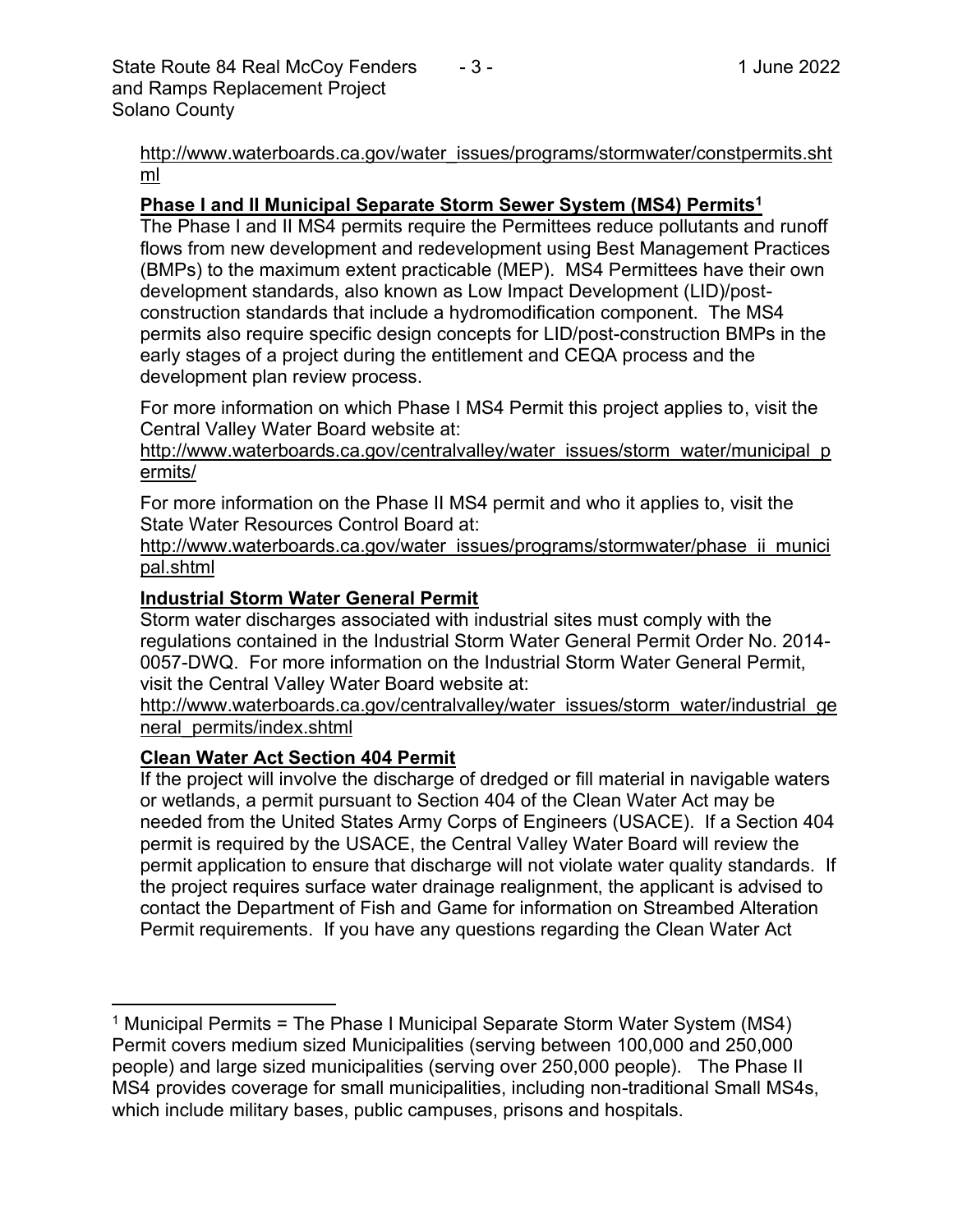[http://www.waterboards.ca.gov/water\\_issues/programs/stormwater/constpermits.sht](http://www.waterboards.ca.gov/water_issues/programs/stormwater/constpermits.shtml) [ml](http://www.waterboards.ca.gov/water_issues/programs/stormwater/constpermits.shtml)

#### **Phase I and II Municipal Separate Storm Sewer System (MS4) Permits<sup>1</sup>**

The Phase I and II MS4 permits require the Permittees reduce pollutants and runoff flows from new development and redevelopment using Best Management Practices (BMPs) to the maximum extent practicable (MEP). MS4 Permittees have their own development standards, also known as Low Impact Development (LID)/postconstruction standards that include a hydromodification component. The MS4 permits also require specific design concepts for LID/post-construction BMPs in the early stages of a project during the entitlement and CEQA process and the development plan review process.

For more information on which Phase I MS4 Permit this project applies to, visit the Central Valley Water Board website at:

http://www.waterboards.ca.gov/centralvalley/water\_issues/storm\_water/municipal\_p ermits/

For more information on the Phase II MS4 permit and who it applies to, visit the State Water Resources Control Board at:

http://www.waterboards.ca.gov/water\_issues/programs/stormwater/phase\_ii\_munici pal.shtml

#### **Industrial Storm Water General Permit**

Storm water discharges associated with industrial sites must comply with the regulations contained in the Industrial Storm Water General Permit Order No. 2014- 0057-DWQ. For more information on the Industrial Storm Water General Permit, visit the Central Valley Water Board website at:

http://www.waterboards.ca.gov/centralvalley/water\_issues/storm\_water/industrial\_ge neral\_permits/index.shtml

#### **Clean Water Act Section 404 Permit**

If the project will involve the discharge of dredged or fill material in navigable waters or wetlands, a permit pursuant to Section 404 of the Clean Water Act may be needed from the United States Army Corps of Engineers (USACE). If a Section 404 permit is required by the USACE, the Central Valley Water Board will review the permit application to ensure that discharge will not violate water quality standards. If the project requires surface water drainage realignment, the applicant is advised to contact the Department of Fish and Game for information on Streambed Alteration Permit requirements. If you have any questions regarding the Clean Water Act

<sup>&</sup>lt;sup>1</sup> Municipal Permits = The Phase I Municipal Separate Storm Water System (MS4) Permit covers medium sized Municipalities (serving between 100,000 and 250,000 people) and large sized municipalities (serving over 250,000 people). The Phase II MS4 provides coverage for small municipalities, including non-traditional Small MS4s, which include military bases, public campuses, prisons and hospitals.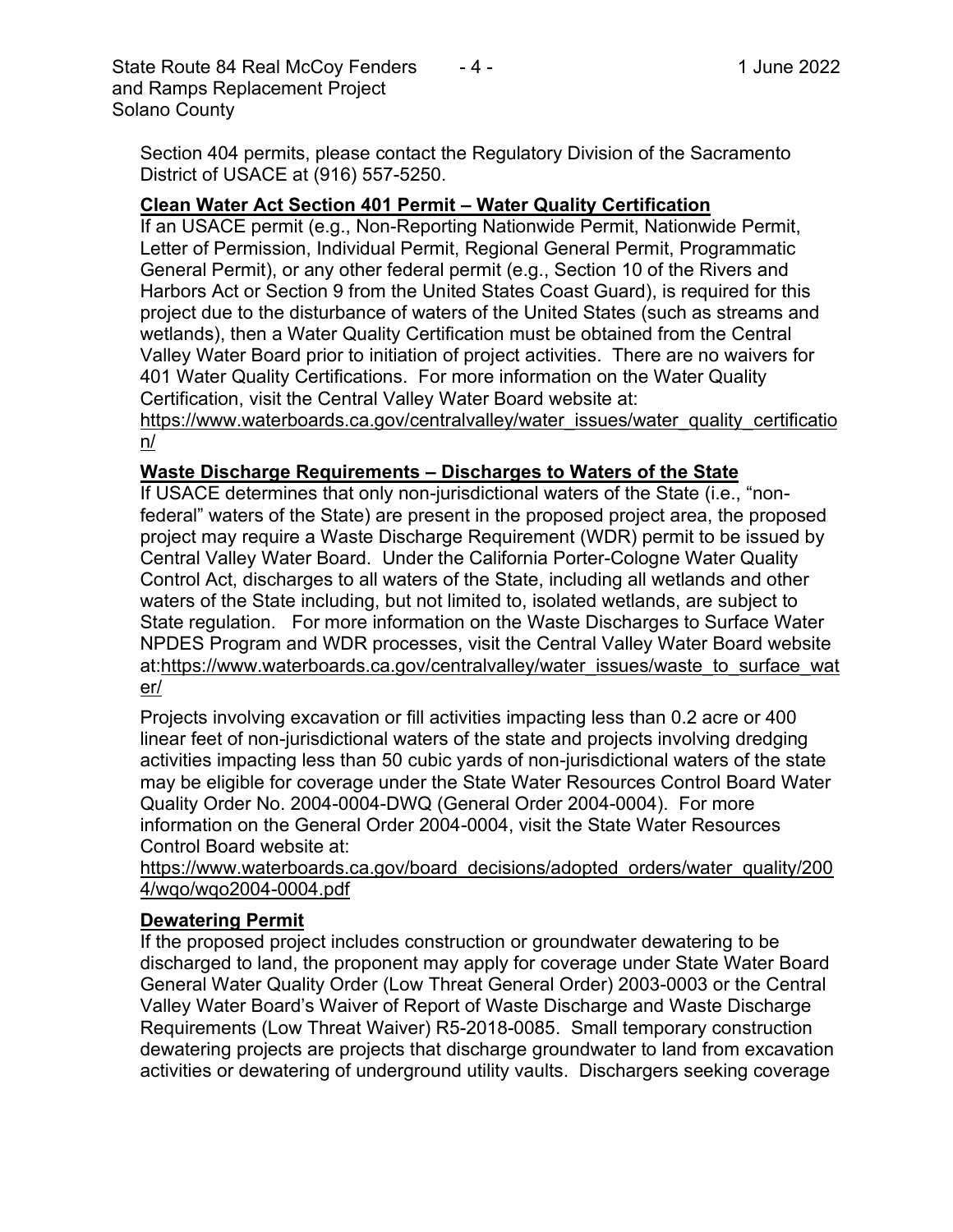State Route 84 Real McCoy Fenders 4.1 - 1 1 June 2022 and Ramps Replacement Project Solano County

Section 404 permits, please contact the Regulatory Division of the Sacramento District of USACE at (916) 557-5250.

#### **Clean Water Act Section 401 Permit – Water Quality Certification**

If an USACE permit (e.g., Non-Reporting Nationwide Permit, Nationwide Permit, Letter of Permission, Individual Permit, Regional General Permit, Programmatic General Permit), or any other federal permit (e.g., Section 10 of the Rivers and Harbors Act or Section 9 from the United States Coast Guard), is required for this project due to the disturbance of waters of the United States (such as streams and wetlands), then a Water Quality Certification must be obtained from the Central Valley Water Board prior to initiation of project activities. There are no waivers for 401 Water Quality Certifications. For more information on the Water Quality Certification, visit the Central Valley Water Board website at:

https://www.waterboards.ca.gov/centralvalley/water\_issues/water\_quality\_certificatio n/

#### **Waste Discharge Requirements – Discharges to Waters of the State**

If USACE determines that only non-jurisdictional waters of the State (i.e., "nonfederal" waters of the State) are present in the proposed project area, the proposed project may require a Waste Discharge Requirement (WDR) permit to be issued by Central Valley Water Board. Under the California Porter-Cologne Water Quality Control Act, discharges to all waters of the State, including all wetlands and other waters of the State including, but not limited to, isolated wetlands, are subject to State regulation. For more information on the Waste Discharges to Surface Water NPDES Program and WDR processes, visit the Central Valley Water Board website at:https://www.waterboards.ca.gov/centralvalley/water\_issues/waste\_to\_surface\_wat er/

Projects involving excavation or fill activities impacting less than 0.2 acre or 400 linear feet of non-jurisdictional waters of the state and projects involving dredging activities impacting less than 50 cubic yards of non-jurisdictional waters of the state may be eligible for coverage under the State Water Resources Control Board Water Quality Order No. 2004-0004-DWQ (General Order 2004-0004). For more information on the General Order 2004-0004, visit the State Water Resources Control Board website at:

https://www.waterboards.ca.gov/board\_decisions/adopted\_orders/water\_quality/200 4/wqo/wqo2004-0004.pdf

#### **Dewatering Permit**

If the proposed project includes construction or groundwater dewatering to be discharged to land, the proponent may apply for coverage under State Water Board General Water Quality Order (Low Threat General Order) 2003-0003 or the Central Valley Water Board's Waiver of Report of Waste Discharge and Waste Discharge Requirements (Low Threat Waiver) R5-2018-0085. Small temporary construction dewatering projects are projects that discharge groundwater to land from excavation activities or dewatering of underground utility vaults. Dischargers seeking coverage